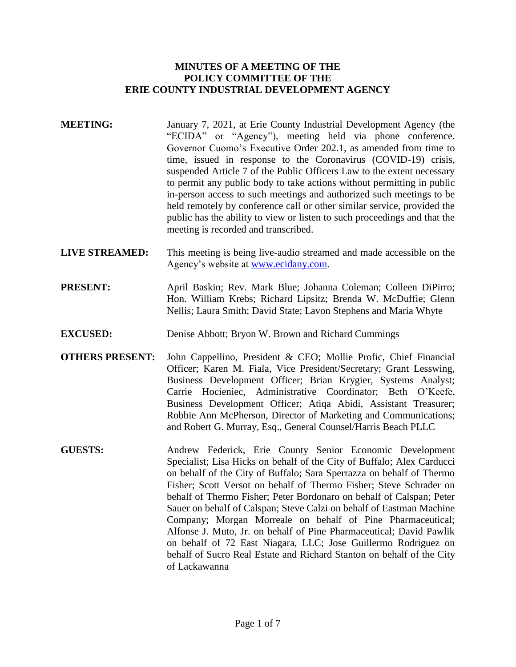## **MINUTES OF A MEETING OF THE POLICY COMMITTEE OF THE ERIE COUNTY INDUSTRIAL DEVELOPMENT AGENCY**

- **MEETING:** January 7, 2021, at Erie County Industrial Development Agency (the "ECIDA" or "Agency"), meeting held via phone conference. Governor Cuomo's Executive Order 202.1, as amended from time to time, issued in response to the Coronavirus (COVID-19) crisis, suspended Article 7 of the Public Officers Law to the extent necessary to permit any public body to take actions without permitting in public in-person access to such meetings and authorized such meetings to be held remotely by conference call or other similar service, provided the public has the ability to view or listen to such proceedings and that the meeting is recorded and transcribed.
- **LIVE STREAMED:** This meeting is being live-audio streamed and made accessible on the Agency's website at [www.ecidany.com.](http://www.ecidany.com/)
- **PRESENT:** April Baskin; Rev. Mark Blue; Johanna Coleman; Colleen DiPirro; Hon. William Krebs; Richard Lipsitz; Brenda W. McDuffie; Glenn Nellis; Laura Smith; David State; Lavon Stephens and Maria Whyte
- **EXCUSED:** Denise Abbott; Bryon W. Brown and Richard Cummings
- **OTHERS PRESENT:** John Cappellino, President & CEO; Mollie Profic, Chief Financial Officer; Karen M. Fiala, Vice President/Secretary; Grant Lesswing, Business Development Officer; Brian Krygier, Systems Analyst; Carrie Hocieniec, Administrative Coordinator; Beth O'Keefe, Business Development Officer; Atiqa Abidi, Assistant Treasurer; Robbie Ann McPherson, Director of Marketing and Communications; and Robert G. Murray, Esq., General Counsel/Harris Beach PLLC
- **GUESTS:** Andrew Federick, Erie County Senior Economic Development Specialist; Lisa Hicks on behalf of the City of Buffalo; Alex Carducci on behalf of the City of Buffalo; Sara Sperrazza on behalf of Thermo Fisher; Scott Versot on behalf of Thermo Fisher; Steve Schrader on behalf of Thermo Fisher; Peter Bordonaro on behalf of Calspan; Peter Sauer on behalf of Calspan; Steve Calzi on behalf of Eastman Machine Company; Morgan Morreale on behalf of Pine Pharmaceutical; Alfonse J. Muto, Jr. on behalf of Pine Pharmaceutical; David Pawlik on behalf of 72 East Niagara, LLC; Jose Guillermo Rodriguez on behalf of Sucro Real Estate and Richard Stanton on behalf of the City of Lackawanna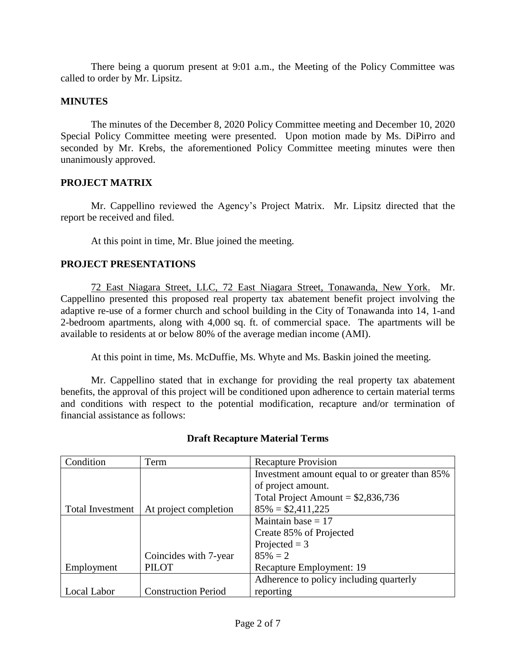There being a quorum present at 9:01 a.m., the Meeting of the Policy Committee was called to order by Mr. Lipsitz.

## **MINUTES**

The minutes of the December 8, 2020 Policy Committee meeting and December 10, 2020 Special Policy Committee meeting were presented. Upon motion made by Ms. DiPirro and seconded by Mr. Krebs, the aforementioned Policy Committee meeting minutes were then unanimously approved.

## **PROJECT MATRIX**

Mr. Cappellino reviewed the Agency's Project Matrix. Mr. Lipsitz directed that the report be received and filed.

At this point in time, Mr. Blue joined the meeting.

# **PROJECT PRESENTATIONS**

72 East Niagara Street, LLC, 72 East Niagara Street, Tonawanda, New York. Mr. Cappellino presented this proposed real property tax abatement benefit project involving the adaptive re-use of a former church and school building in the City of Tonawanda into 14, 1-and 2-bedroom apartments, along with 4,000 sq. ft. of commercial space. The apartments will be available to residents at or below 80% of the average median income (AMI).

At this point in time, Ms. McDuffie, Ms. Whyte and Ms. Baskin joined the meeting.

Mr. Cappellino stated that in exchange for providing the real property tax abatement benefits, the approval of this project will be conditioned upon adherence to certain material terms and conditions with respect to the potential modification, recapture and/or termination of financial assistance as follows:

| Condition               | Term                       | <b>Recapture Provision</b>                     |
|-------------------------|----------------------------|------------------------------------------------|
|                         |                            | Investment amount equal to or greater than 85% |
|                         |                            | of project amount.                             |
|                         |                            | Total Project Amount = $$2,836,736$            |
| <b>Total Investment</b> | At project completion      | $85\% = $2,411,225$                            |
|                         |                            | Maintain base $= 17$                           |
|                         |                            | Create 85% of Projected                        |
|                         |                            | Projected $=$ 3                                |
|                         | Coincides with 7-year      | $85\% = 2$                                     |
| Employment              | <b>PILOT</b>               | Recapture Employment: 19                       |
|                         |                            | Adherence to policy including quarterly        |
| Local Labor             | <b>Construction Period</b> | reporting                                      |

# **Draft Recapture Material Terms**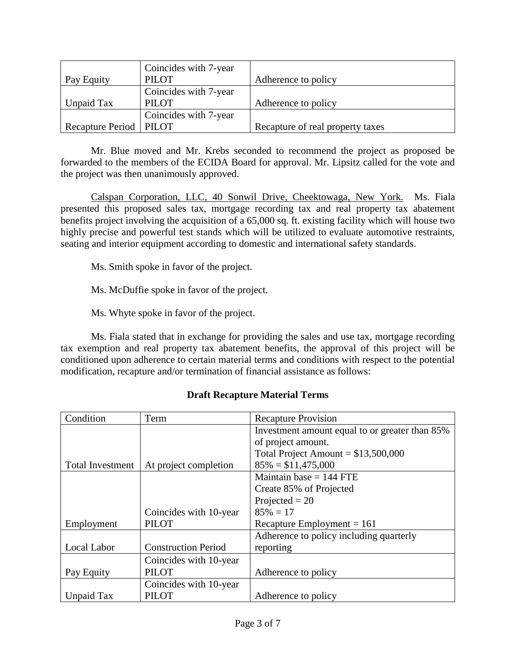| Pay Equity               | Coincides with 7-year<br><b>PILOT</b> | Adherence to policy              |
|--------------------------|---------------------------------------|----------------------------------|
| Unpaid Tax               | Coincides with 7-year<br><b>PILOT</b> | Adherence to policy              |
|                          | Coincides with 7-year                 |                                  |
| Recapture Period   PILOT |                                       | Recapture of real property taxes |

Mr. Blue moved and Mr. Krebs seconded to recommend the project as proposed be forwarded to the members of the ECIDA Board for approval. Mr. Lipsitz called for the vote and the project was then unanimously approved.

Calspan Corporation, LLC, 40 Sonwil Drive, Cheektowaga, New York. Ms. Fiala presented this proposed sales tax, mortgage recording tax and real property tax abatement benefits project involving the acquisition of a 65,000 sq. ft. existing facility which will house two highly precise and powerful test stands which will be utilized to evaluate automotive restraints, seating and interior equipment according to domestic and international safety standards.

Ms. Smith spoke in favor of the project.

Ms. McDuffie spoke in favor of the project.

Ms. Whyte spoke in favor of the project.

Ms. Fiala stated that in exchange for providing the sales and use tax, mortgage recording tax exemption and real property tax abatement benefits, the approval of this project will be conditioned upon adherence to certain material terms and conditions with respect to the potential modification, recapture and/or termination of financial assistance as follows:

| <b>Draft Recapture Material Terms</b> |  |  |
|---------------------------------------|--|--|
|---------------------------------------|--|--|

| Condition               | Term                       | <b>Recapture Provision</b>                     |
|-------------------------|----------------------------|------------------------------------------------|
|                         |                            | Investment amount equal to or greater than 85% |
|                         |                            | of project amount.                             |
|                         |                            | Total Project Amount = $$13,500,000$           |
| <b>Total Investment</b> | At project completion      | $85\% = $11,475,000$                           |
|                         |                            | Maintain base $= 144$ FTE                      |
|                         |                            | Create 85% of Projected                        |
|                         |                            | Projected $= 20$                               |
|                         | Coincides with 10-year     | $85\% = 17$                                    |
| Employment              | <b>PILOT</b>               | Recapture Employment = $161$                   |
|                         |                            | Adherence to policy including quarterly        |
| Local Labor             | <b>Construction Period</b> | reporting                                      |
|                         | Coincides with 10-year     |                                                |
| Pay Equity              | <b>PILOT</b>               | Adherence to policy                            |
|                         | Coincides with 10-year     |                                                |
| Unpaid Tax              | <b>PILOT</b>               | Adherence to policy                            |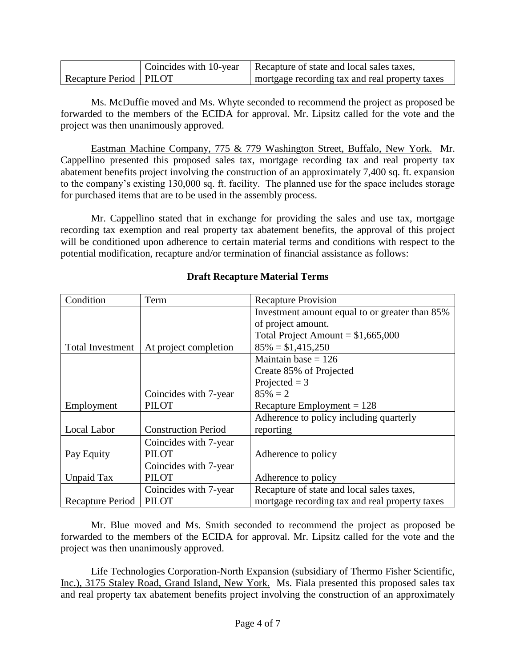|                          | Coincides with 10-year   Recapture of state and local sales taxes, |
|--------------------------|--------------------------------------------------------------------|
| Recapture Period   PILOT | mortgage recording tax and real property taxes                     |

Ms. McDuffie moved and Ms. Whyte seconded to recommend the project as proposed be forwarded to the members of the ECIDA for approval. Mr. Lipsitz called for the vote and the project was then unanimously approved.

Eastman Machine Company, 775 & 779 Washington Street, Buffalo, New York. Mr. Cappellino presented this proposed sales tax, mortgage recording tax and real property tax abatement benefits project involving the construction of an approximately 7,400 sq. ft. expansion to the company's existing 130,000 sq. ft. facility. The planned use for the space includes storage for purchased items that are to be used in the assembly process.

Mr. Cappellino stated that in exchange for providing the sales and use tax, mortgage recording tax exemption and real property tax abatement benefits, the approval of this project will be conditioned upon adherence to certain material terms and conditions with respect to the potential modification, recapture and/or termination of financial assistance as follows:

| Condition               | Term                       | <b>Recapture Provision</b>                     |
|-------------------------|----------------------------|------------------------------------------------|
|                         |                            | Investment amount equal to or greater than 85% |
|                         |                            | of project amount.                             |
|                         |                            | Total Project Amount = $$1,665,000$            |
| <b>Total Investment</b> | At project completion      | $85\% = $1,415,250$                            |
|                         |                            | Maintain base $= 126$                          |
|                         |                            | Create 85% of Projected                        |
|                         |                            | Projected = $3$                                |
|                         | Coincides with 7-year      | $85\% = 2$                                     |
| Employment              | <b>PILOT</b>               | Recapture Employment $= 128$                   |
|                         |                            | Adherence to policy including quarterly        |
| Local Labor             | <b>Construction Period</b> | reporting                                      |
|                         | Coincides with 7-year      |                                                |
| Pay Equity              | <b>PILOT</b>               | Adherence to policy                            |
|                         | Coincides with 7-year      |                                                |
| Unpaid Tax              | <b>PILOT</b>               | Adherence to policy                            |
|                         | Coincides with 7-year      | Recapture of state and local sales taxes,      |
| Recapture Period        | <b>PILOT</b>               | mortgage recording tax and real property taxes |

# **Draft Recapture Material Terms**

Mr. Blue moved and Ms. Smith seconded to recommend the project as proposed be forwarded to the members of the ECIDA for approval. Mr. Lipsitz called for the vote and the project was then unanimously approved.

Life Technologies Corporation-North Expansion (subsidiary of Thermo Fisher Scientific, Inc.), 3175 Staley Road, Grand Island, New York. Ms. Fiala presented this proposed sales tax and real property tax abatement benefits project involving the construction of an approximately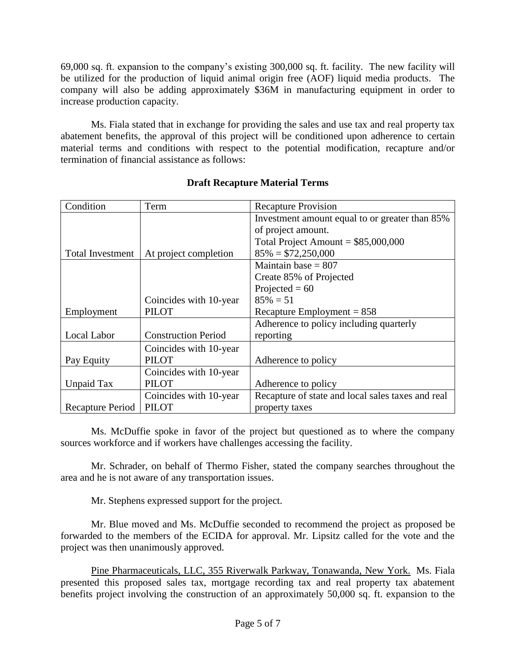69,000 sq. ft. expansion to the company's existing 300,000 sq. ft. facility. The new facility will be utilized for the production of liquid animal origin free (AOF) liquid media products. The company will also be adding approximately \$36M in manufacturing equipment in order to increase production capacity.

Ms. Fiala stated that in exchange for providing the sales and use tax and real property tax abatement benefits, the approval of this project will be conditioned upon adherence to certain material terms and conditions with respect to the potential modification, recapture and/or termination of financial assistance as follows:

| Condition               | Term                       | <b>Recapture Provision</b>                        |
|-------------------------|----------------------------|---------------------------------------------------|
|                         |                            | Investment amount equal to or greater than 85%    |
|                         |                            | of project amount.                                |
|                         |                            | Total Project Amount = $$85,000,000$              |
| <b>Total Investment</b> | At project completion      | $85\% = $72,250,000$                              |
|                         |                            | Maintain base $= 807$                             |
|                         |                            | Create 85% of Projected                           |
|                         |                            | Projected = $60$                                  |
|                         | Coincides with 10-year     | $85\% = 51$                                       |
| Employment              | <b>PILOT</b>               | Recapture Employment = $858$                      |
|                         |                            | Adherence to policy including quarterly           |
| Local Labor             | <b>Construction Period</b> | reporting                                         |
|                         | Coincides with 10-year     |                                                   |
| Pay Equity              | <b>PILOT</b>               | Adherence to policy                               |
|                         | Coincides with 10-year     |                                                   |
| Unpaid Tax              | PILOT                      | Adherence to policy                               |
|                         | Coincides with 10-year     | Recapture of state and local sales taxes and real |
| Recapture Period        | <b>PILOT</b>               | property taxes                                    |

# **Draft Recapture Material Terms**

Ms. McDuffie spoke in favor of the project but questioned as to where the company sources workforce and if workers have challenges accessing the facility.

Mr. Schrader, on behalf of Thermo Fisher, stated the company searches throughout the area and he is not aware of any transportation issues.

Mr. Stephens expressed support for the project.

Mr. Blue moved and Ms. McDuffie seconded to recommend the project as proposed be forwarded to the members of the ECIDA for approval. Mr. Lipsitz called for the vote and the project was then unanimously approved.

Pine Pharmaceuticals, LLC, 355 Riverwalk Parkway, Tonawanda, New York. Ms. Fiala presented this proposed sales tax, mortgage recording tax and real property tax abatement benefits project involving the construction of an approximately 50,000 sq. ft. expansion to the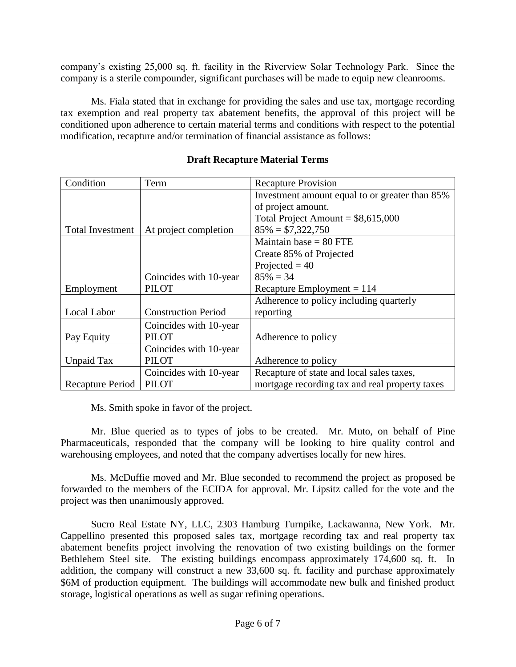company's existing 25,000 sq. ft. facility in the Riverview Solar Technology Park. Since the company is a sterile compounder, significant purchases will be made to equip new cleanrooms.

Ms. Fiala stated that in exchange for providing the sales and use tax, mortgage recording tax exemption and real property tax abatement benefits, the approval of this project will be conditioned upon adherence to certain material terms and conditions with respect to the potential modification, recapture and/or termination of financial assistance as follows:

| Condition               | Term                       | <b>Recapture Provision</b>                     |
|-------------------------|----------------------------|------------------------------------------------|
|                         |                            | Investment amount equal to or greater than 85% |
|                         |                            | of project amount.                             |
|                         |                            | Total Project Amount = $$8,615,000$            |
| <b>Total Investment</b> | At project completion      | $85\% = $7,322,750$                            |
|                         |                            | Maintain base $= 80$ FTE                       |
|                         |                            | Create 85% of Projected                        |
|                         |                            | Projected = $40$                               |
|                         | Coincides with 10-year     | $85\% = 34$                                    |
| Employment              | <b>PILOT</b>               | Recapture Employment $= 114$                   |
|                         |                            | Adherence to policy including quarterly        |
| Local Labor             | <b>Construction Period</b> | reporting                                      |
|                         | Coincides with 10-year     |                                                |
| Pay Equity              | <b>PILOT</b>               | Adherence to policy                            |
|                         | Coincides with 10-year     |                                                |
| Unpaid Tax              | <b>PILOT</b>               | Adherence to policy                            |
|                         | Coincides with 10-year     | Recapture of state and local sales taxes,      |
| Recapture Period        | <b>PILOT</b>               | mortgage recording tax and real property taxes |

## **Draft Recapture Material Terms**

Ms. Smith spoke in favor of the project.

Mr. Blue queried as to types of jobs to be created. Mr. Muto, on behalf of Pine Pharmaceuticals, responded that the company will be looking to hire quality control and warehousing employees, and noted that the company advertises locally for new hires.

Ms. McDuffie moved and Mr. Blue seconded to recommend the project as proposed be forwarded to the members of the ECIDA for approval. Mr. Lipsitz called for the vote and the project was then unanimously approved.

Sucro Real Estate NY, LLC, 2303 Hamburg Turnpike, Lackawanna, New York. Mr. Cappellino presented this proposed sales tax, mortgage recording tax and real property tax abatement benefits project involving the renovation of two existing buildings on the former Bethlehem Steel site. The existing buildings encompass approximately 174,600 sq. ft. In addition, the company will construct a new 33,600 sq. ft. facility and purchase approximately \$6M of production equipment. The buildings will accommodate new bulk and finished product storage, logistical operations as well as sugar refining operations.